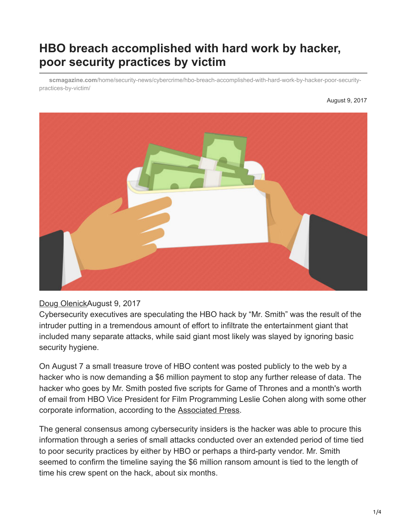## **HBO breach accomplished with hard work by hacker, poor security practices by victim**

**scmagazine.com**[/home/security-news/cybercrime/hbo-breach-accomplished-with-hard-work-by-hacker-poor-security](https://www.scmagazine.com/home/security-news/cybercrime/hbo-breach-accomplished-with-hard-work-by-hacker-poor-security-practices-by-victim/)practices-by-victim/

## August 9, 2017



## Doug [Olenick](https://www.scmagazine.com/author/doug-olenick)August 9, 2017

Cybersecurity executives are speculating the HBO hack by "Mr. Smith" was the result of the intruder putting in a tremendous amount of effort to infiltrate the entertainment giant that included many separate attacks, while said giant most likely was slayed by ignoring basic security hygiene.

On August 7 a small treasure trove of HBO content was posted publicly to the web by a hacker who is now demanding a \$6 million payment to stop any further release of data. The hacker who goes by Mr. Smith posted five scripts for Game of Thrones and a month's worth of email from HBO Vice President for Film Programming Leslie Cohen along with some other corporate information, according to the [Associated Press.](https://hosted.ap.org/dynamic/stories/U/US_HBO_HACK?SITE=AP&SECTION=HOME&TEMPLATE=DEFAULT&CTIME=2017-08-07-20-02-47)

The general consensus among cybersecurity insiders is the hacker was able to procure this information through a series of small attacks conducted over an extended period of time tied to poor security practices by either by HBO or perhaps a third-party vendor. Mr. Smith seemed to confirm the timeline saying the \$6 million ransom amount is tied to the length of time his crew spent on the hack, about six months.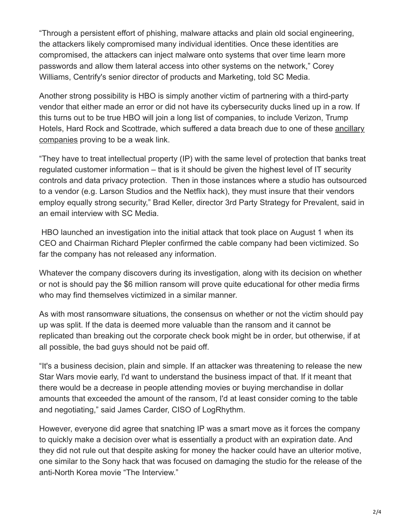"Through a persistent effort of phishing, malware attacks and plain old social engineering, the attackers likely compromised many individual identities. Once these identities are compromised, the attackers can inject malware onto systems that over time learn more passwords and allow them lateral access into other systems on the network," Corey Williams, Centrify's senior director of products and Marketing, told SC Media.

Another strong possibility is HBO is simply another victim of partnering with a third-party vendor that either made an error or did not have its cybersecurity ducks lined up in a row. If this turns out to be true HBO will join a long list of companies, to include Verizon, Trump [Hotels, Hard Rock and Scottrade, which suffered a data breach due to one of these ancillary](https://www.scmagazine.com/search/third-party+vendor/daterange-12m/m/2/) companies proving to be a weak link.

"They have to treat intellectual property (IP) with the same level of protection that banks treat regulated customer information – that is it should be given the highest level of IT security controls and data privacy protection. Then in those instances where a studio has outsourced to a vendor (e.g. Larson Studios and the Netflix hack), they must insure that their vendors employ equally strong security," Brad Keller, director 3rd Party Strategy for Prevalent, said in an email interview with SC Media.

 HBO launched an investigation into the initial attack that took place on August 1 when its CEO and Chairman Richard Plepler confirmed the cable company had been victimized. So far the company has not released any information.

Whatever the company discovers during its investigation, along with its decision on whether or not is should pay the \$6 million ransom will prove quite educational for other media firms who may find themselves victimized in a similar manner.

As with most ransomware situations, the consensus on whether or not the victim should pay up was split. If the data is deemed more valuable than the ransom and it cannot be replicated than breaking out the corporate check book might be in order, but otherwise, if at all possible, the bad guys should not be paid off.

"It's a business decision, plain and simple. If an attacker was threatening to release the new Star Wars movie early, I'd want to understand the business impact of that. If it meant that there would be a decrease in people attending movies or buying merchandise in dollar amounts that exceeded the amount of the ransom, I'd at least consider coming to the table and negotiating," said James Carder, CISO of LogRhythm.

However, everyone did agree that snatching IP was a smart move as it forces the company to quickly make a decision over what is essentially a product with an expiration date. And they did not rule out that despite asking for money the hacker could have an ulterior motive, one similar to the Sony hack that was focused on damaging the studio for the release of the anti-North Korea movie "The Interview."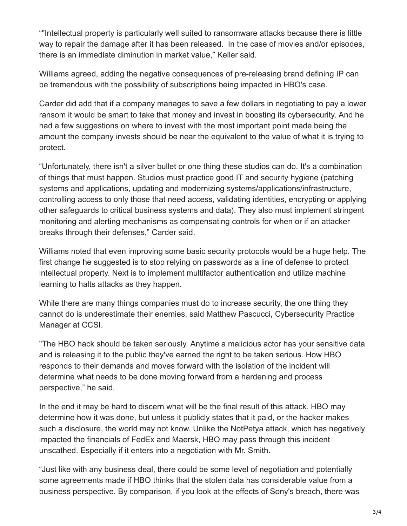""Intellectual property is particularly well suited to ransomware attacks because there is little way to repair the damage after it has been released. In the case of movies and/or episodes, there is an immediate diminution in market value," Keller said.

Williams agreed, adding the negative consequences of pre-releasing brand defining IP can be tremendous with the possibility of subscriptions being impacted in HBO's case.

Carder did add that if a company manages to save a few dollars in negotiating to pay a lower ransom it would be smart to take that money and invest in boosting its cybersecurity. And he had a few suggestions on where to invest with the most important point made being the amount the company invests should be near the equivalent to the value of what it is trying to protect.

"Unfortunately, there isn't a silver bullet or one thing these studios can do. It's a combination of things that must happen. Studios must practice good IT and security hygiene (patching systems and applications, updating and modernizing systems/applications/infrastructure, controlling access to only those that need access, validating identities, encrypting or applying other safeguards to critical business systems and data). They also must implement stringent monitoring and alerting mechanisms as compensating controls for when or if an attacker breaks through their defenses," Carder said.

Williams noted that even improving some basic security protocols would be a huge help. The first change he suggested is to stop relying on passwords as a line of defense to protect intellectual property. Next is to implement multifactor authentication and utilize machine learning to halts attacks as they happen.

While there are many things companies must do to increase security, the one thing they cannot do is underestimate their enemies, said Matthew Pascucci, Cybersecurity Practice Manager at CCSI.

"The HBO hack should be taken seriously. Anytime a malicious actor has your sensitive data and is releasing it to the public they've earned the right to be taken serious. How HBO responds to their demands and moves forward with the isolation of the incident will determine what needs to be done moving forward from a hardening and process perspective," he said.

In the end it may be hard to discern what will be the final result of this attack. HBO may determine how it was done, but unless it publicly states that it paid, or the hacker makes such a disclosure, the world may not know. Unlike the NotPetya attack, which has negatively impacted the financials of FedEx and Maersk, HBO may pass through this incident unscathed. Especially if it enters into a negotiation with Mr. Smith.

"Just like with any business deal, there could be some level of negotiation and potentially some agreements made if HBO thinks that the stolen data has considerable value from a business perspective. By comparison, if you look at the effects of Sony's breach, there was